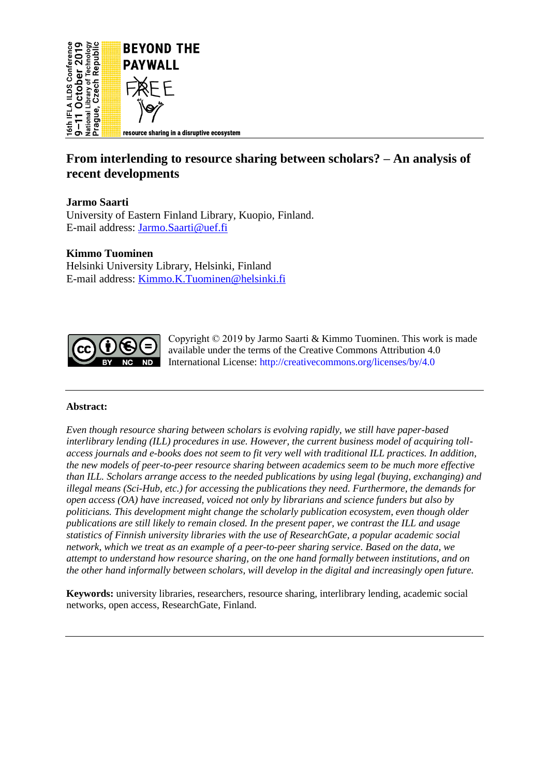

# **From interlending to resource sharing between scholars? – An analysis of recent developments**

# **Jarmo Saarti**

University of Eastern Finland Library, Kuopio, Finland. E-mail address: [Jarmo.Saarti@uef.fi](mailto:Jarmo.Saarti@uef.fi)

#### **Kimmo Tuominen**

Helsinki University Library, Helsinki, Finland E-mail address: [Kimmo.K.Tuominen@helsinki.fi](mailto:Kimmo.K.Tuominen@helsinki.fi)



Copyright © 2019 by Jarmo Saarti & Kimmo Tuominen. This work is made available under the terms of the Creative Commons Attribution 4.0 International License:<http://creativecommons.org/licenses/by/4.0>

#### **Abstract:**

*Even though resource sharing between scholars is evolving rapidly, we still have paper-based interlibrary lending (ILL) procedures in use. However, the current business model of acquiring tollaccess journals and e-books does not seem to fit very well with traditional ILL practices. In addition, the new models of peer-to-peer resource sharing between academics seem to be much more effective than ILL. Scholars arrange access to the needed publications by using legal (buying, exchanging) and illegal means (Sci-Hub, etc.) for accessing the publications they need. Furthermore, the demands for open access (OA) have increased, voiced not only by librarians and science funders but also by politicians. This development might change the scholarly publication ecosystem, even though older publications are still likely to remain closed. In the present paper, we contrast the ILL and usage statistics of Finnish university libraries with the use of ResearchGate, a popular academic social network, which we treat as an example of a peer-to-peer sharing service. Based on the data, we attempt to understand how resource sharing, on the one hand formally between institutions, and on the other hand informally between scholars, will develop in the digital and increasingly open future.*

**Keywords:** university libraries, researchers, resource sharing, interlibrary lending, academic social networks, open access, ResearchGate, Finland.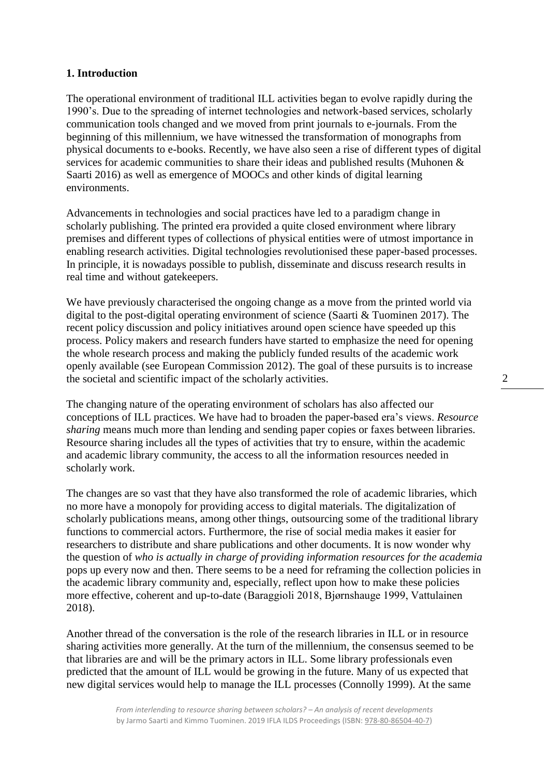#### **1. Introduction**

The operational environment of traditional ILL activities began to evolve rapidly during the 1990's. Due to the spreading of internet technologies and network-based services, scholarly communication tools changed and we moved from print journals to e-journals. From the beginning of this millennium, we have witnessed the transformation of monographs from physical documents to e-books. Recently, we have also seen a rise of different types of digital services for academic communities to share their ideas and published results (Muhonen & Saarti 2016) as well as emergence of MOOCs and other kinds of digital learning environments.

Advancements in technologies and social practices have led to a paradigm change in scholarly publishing. The printed era provided a quite closed environment where library premises and different types of collections of physical entities were of utmost importance in enabling research activities. Digital technologies revolutionised these paper-based processes. In principle, it is nowadays possible to publish, disseminate and discuss research results in real time and without gatekeepers.

We have previously characterised the ongoing change as a move from the printed world via digital to the post-digital operating environment of science (Saarti & Tuominen 2017). The recent policy discussion and policy initiatives around open science have speeded up this process. Policy makers and research funders have started to emphasize the need for opening the whole research process and making the publicly funded results of the academic work openly available (see European Commission 2012). The goal of these pursuits is to increase the societal and scientific impact of the scholarly activities.

The changing nature of the operating environment of scholars has also affected our conceptions of ILL practices. We have had to broaden the paper-based era's views. *Resource sharing* means much more than lending and sending paper copies or faxes between libraries. Resource sharing includes all the types of activities that try to ensure, within the academic and academic library community, the access to all the information resources needed in scholarly work.

The changes are so vast that they have also transformed the role of academic libraries, which no more have a monopoly for providing access to digital materials. The digitalization of scholarly publications means, among other things, outsourcing some of the traditional library functions to commercial actors. Furthermore, the rise of social media makes it easier for researchers to distribute and share publications and other documents. It is now wonder why the question of *who is actually in charge of providing information resources for the academia* pops up every now and then. There seems to be a need for reframing the collection policies in the academic library community and, especially, reflect upon how to make these policies more effective, coherent and up-to-date (Baraggioli 2018, Bjørnshauge 1999, Vattulainen 2018).

Another thread of the conversation is the role of the research libraries in ILL or in resource sharing activities more generally. At the turn of the millennium, the consensus seemed to be that libraries are and will be the primary actors in ILL. Some library professionals even predicted that the amount of ILL would be growing in the future. Many of us expected that new digital services would help to manage the ILL processes (Connolly 1999). At the same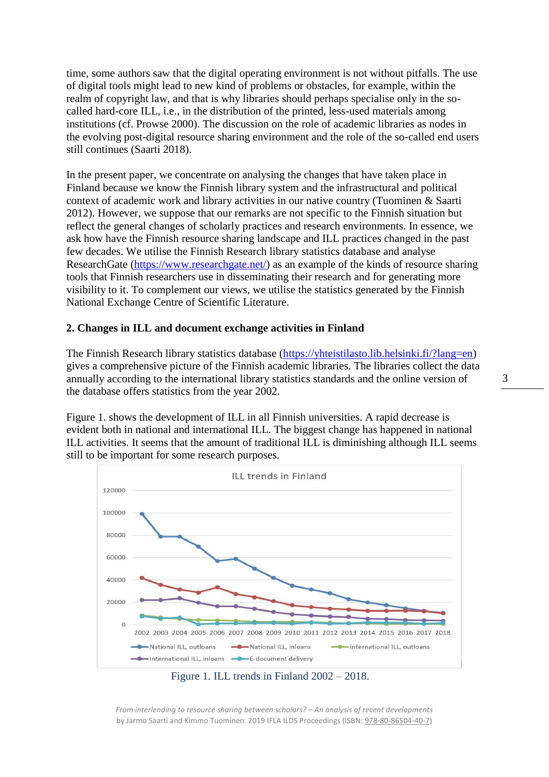time, some authors saw that the digital operating environment is not without pitfalls. The use of digital tools might lead to new kind of problems or obstacles, for example, within the realm of copyright law, and that is why libraries should perhaps specialise only in the socalled hard-core ILL, i.e., in the distribution of the printed, less-used materials among institutions (cf. Prowse 2000). The discussion on the role of academic libraries as nodes in the evolving post-digital resource sharing environment and the role of the so-called end users still continues (Saarti 2018).

In the present paper, we concentrate on analysing the changes that have taken place in Finland because we know the Finnish library system and the infrastructural and political context of academic work and library activities in our native country (Tuominen & Saarti 2012). However, we suppose that our remarks are not specific to the Finnish situation but reflect the general changes of scholarly practices and research environments. In essence, we ask how have the Finnish resource sharing landscape and ILL practices changed in the past few decades. We utilise the Finnish Research library statistics database and analyse ResearchGate [\(https://www.researchgate.net/\)](https://www.researchgate.net/) as an example of the kinds of resource sharing tools that Finnish researchers use in disseminating their research and for generating more visibility to it. To complement our views, we utilise the statistics generated by the Finnish National Exchange Centre of Scientific Literature.

### **2. Changes in ILL and document exchange activities in Finland**

The Finnish Research library statistics database [\(https://yhteistilasto.lib.helsinki.fi/?lang=en\)](https://yhteistilasto.lib.helsinki.fi/?lang=en) gives a comprehensive picture of the Finnish academic libraries. The libraries collect the data annually according to the international library statistics standards and the online version of the database offers statistics from the year 2002.

Figure 1. shows the development of ILL in all Finnish universities. A rapid decrease is evident both in national and international ILL. The biggest change has happened in national ILL activities. It seems that the amount of traditional ILL is diminishing although ILL seems still to be important for some research purposes.





*From interlending to resource sharing between scholars? – An analysis of recent developments* by Jarmo Saarti and Kimmo Tuominen. 2019 IFLA ILDS Proceedings (ISBN: [978-80-86504-40-7\)](https://www.techlib.cz/en/84026)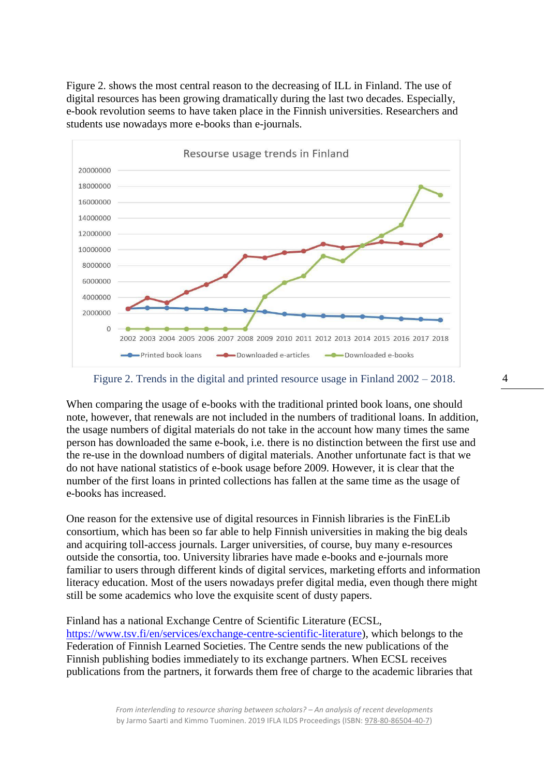Figure 2. shows the most central reason to the decreasing of ILL in Finland. The use of digital resources has been growing dramatically during the last two decades. Especially, e-book revolution seems to have taken place in the Finnish universities. Researchers and students use nowadays more e-books than e-journals.



#### Figure 2. Trends in the digital and printed resource usage in Finland 2002 – 2018.

When comparing the usage of e-books with the traditional printed book loans, one should note, however, that renewals are not included in the numbers of traditional loans. In addition, the usage numbers of digital materials do not take in the account how many times the same person has downloaded the same e-book, i.e. there is no distinction between the first use and the re-use in the download numbers of digital materials. Another unfortunate fact is that we do not have national statistics of e-book usage before 2009. However, it is clear that the number of the first loans in printed collections has fallen at the same time as the usage of e-books has increased.

One reason for the extensive use of digital resources in Finnish libraries is the FinELib consortium, which has been so far able to help Finnish universities in making the big deals and acquiring toll-access journals. Larger universities, of course, buy many e-resources outside the consortia, too. University libraries have made e-books and e-journals more familiar to users through different kinds of digital services, marketing efforts and information literacy education. Most of the users nowadays prefer digital media, even though there might still be some academics who love the exquisite scent of dusty papers.

Finland has a national Exchange Centre of Scientific Literature (ECSL, [https://www.tsv.fi/en/services/exchange-centre-scientific-literature\)](https://www.tsv.fi/en/services/exchange-centre-scientific-literature), which belongs to the Federation of Finnish Learned Societies. The Centre sends the new publications of the Finnish publishing bodies immediately to its exchange partners. When ECSL receives publications from the partners, it forwards them free of charge to the academic libraries that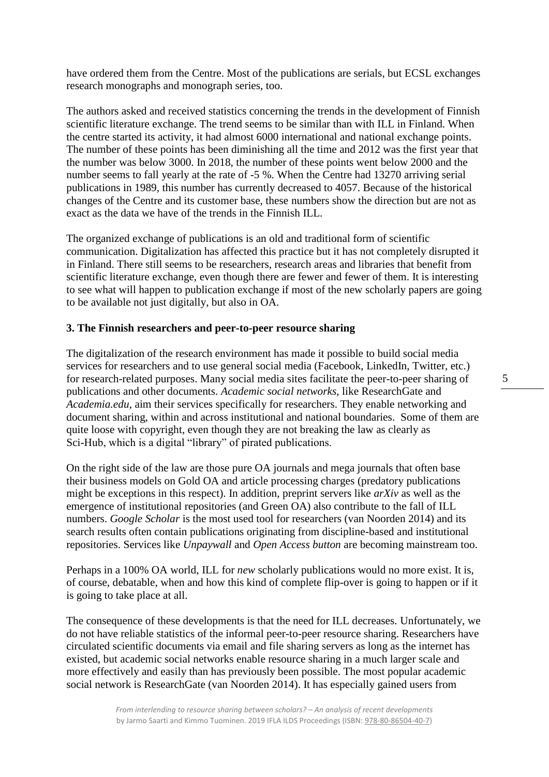have ordered them from the Centre. Most of the publications are serials, but ECSL exchanges research monographs and monograph series, too.

The authors asked and received statistics concerning the trends in the development of Finnish scientific literature exchange. The trend seems to be similar than with ILL in Finland. When the centre started its activity, it had almost 6000 international and national exchange points. The number of these points has been diminishing all the time and 2012 was the first year that the number was below 3000. In 2018, the number of these points went below 2000 and the number seems to fall yearly at the rate of -5 %. When the Centre had 13270 arriving serial publications in 1989, this number has currently decreased to 4057. Because of the historical changes of the Centre and its customer base, these numbers show the direction but are not as exact as the data we have of the trends in the Finnish ILL.

The organized exchange of publications is an old and traditional form of scientific communication. Digitalization has affected this practice but it has not completely disrupted it in Finland. There still seems to be researchers, research areas and libraries that benefit from scientific literature exchange, even though there are fewer and fewer of them. It is interesting to see what will happen to publication exchange if most of the new scholarly papers are going to be available not just digitally, but also in OA.

## **3. The Finnish researchers and peer-to-peer resource sharing**

The digitalization of the research environment has made it possible to build social media services for researchers and to use general social media (Facebook, LinkedIn, Twitter, etc.) for research-related purposes. Many social media sites facilitate the peer-to-peer sharing of publications and other documents. *Academic social networks*, like ResearchGate and *Academia.edu*, aim their services specifically for researchers. They enable networking and document sharing, within and across institutional and national boundaries. Some of them are quite loose with copyright, even though they are not breaking the law as clearly as Sci-Hub, which is a digital "library" of pirated publications.

On the right side of the law are those pure OA journals and mega journals that often base their business models on Gold OA and article processing charges (predatory publications might be exceptions in this respect). In addition, preprint servers like *arXiv* as well as the emergence of institutional repositories (and Green OA) also contribute to the fall of ILL numbers. *Google Scholar* is the most used tool for researchers (van Noorden 2014) and its search results often contain publications originating from discipline-based and institutional repositories. Services like *Unpaywall* and *Open Access button* are becoming mainstream too.

Perhaps in a 100% OA world, ILL for *new* scholarly publications would no more exist. It is, of course, debatable, when and how this kind of complete flip-over is going to happen or if it is going to take place at all.

The consequence of these developments is that the need for ILL decreases. Unfortunately, we do not have reliable statistics of the informal peer-to-peer resource sharing. Researchers have circulated scientific documents via email and file sharing servers as long as the internet has existed, but academic social networks enable resource sharing in a much larger scale and more effectively and easily than has previously been possible. The most popular academic social network is ResearchGate (van Noorden 2014). It has especially gained users from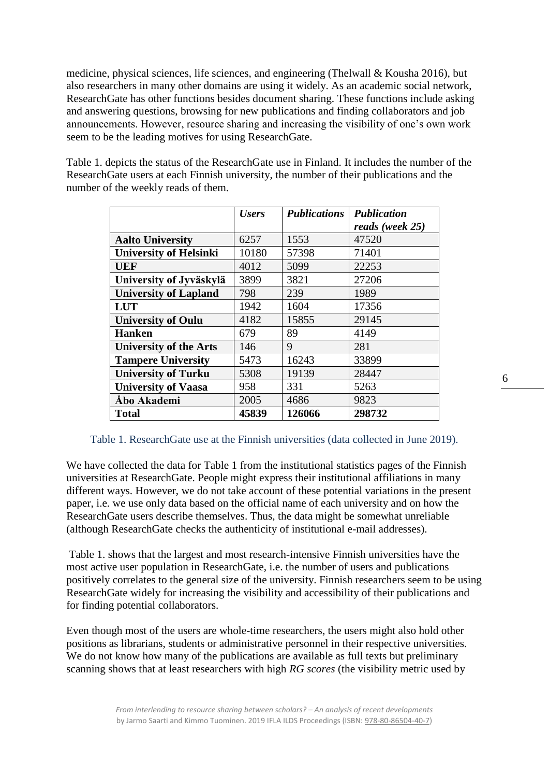medicine, physical sciences, life sciences, and engineering (Thelwall & Kousha 2016), but also researchers in many other domains are using it widely. As an academic social network, ResearchGate has other functions besides document sharing. These functions include asking and answering questions, browsing for new publications and finding collaborators and job announcements. However, resource sharing and increasing the visibility of one's own work seem to be the leading motives for using ResearchGate.

Table 1. depicts the status of the ResearchGate use in Finland. It includes the number of the ResearchGate users at each Finnish university, the number of their publications and the number of the weekly reads of them.

|                               | <b>Users</b> | <b>Publications</b> | <b>Publication</b> |
|-------------------------------|--------------|---------------------|--------------------|
|                               |              |                     | reads (week 25)    |
| <b>Aalto University</b>       | 6257         | 1553                | 47520              |
| <b>University of Helsinki</b> | 10180        | 57398               | 71401              |
| <b>UEF</b>                    | 4012         | 5099                | 22253              |
| University of Jyväskylä       | 3899         | 3821                | 27206              |
| <b>University of Lapland</b>  | 798          | 239                 | 1989               |
| <b>LUT</b>                    | 1942         | 1604                | 17356              |
| <b>University of Oulu</b>     | 4182         | 15855               | 29145              |
| <b>Hanken</b>                 | 679          | 89                  | 4149               |
| <b>University of the Arts</b> | 146          | 9                   | 281                |
| <b>Tampere University</b>     | 5473         | 16243               | 33899              |
| <b>University of Turku</b>    | 5308         | 19139               | 28447              |
| <b>University of Vaasa</b>    | 958          | 331                 | 5263               |
| Åbo Akademi                   | 2005         | 4686                | 9823               |
| <b>Total</b>                  | 45839        | 126066              | 298732             |

#### Table 1. ResearchGate use at the Finnish universities (data collected in June 2019).

We have collected the data for Table 1 from the institutional statistics pages of the Finnish universities at ResearchGate. People might express their institutional affiliations in many different ways. However, we do not take account of these potential variations in the present paper, i.e. we use only data based on the official name of each university and on how the ResearchGate users describe themselves. Thus, the data might be somewhat unreliable (although ResearchGate checks the authenticity of institutional e-mail addresses).

Table 1. shows that the largest and most research-intensive Finnish universities have the most active user population in ResearchGate, i.e. the number of users and publications positively correlates to the general size of the university. Finnish researchers seem to be using ResearchGate widely for increasing the visibility and accessibility of their publications and for finding potential collaborators.

Even though most of the users are whole-time researchers, the users might also hold other positions as librarians, students or administrative personnel in their respective universities. We do not know how many of the publications are available as full texts but preliminary scanning shows that at least researchers with high *RG scores* (the visibility metric used by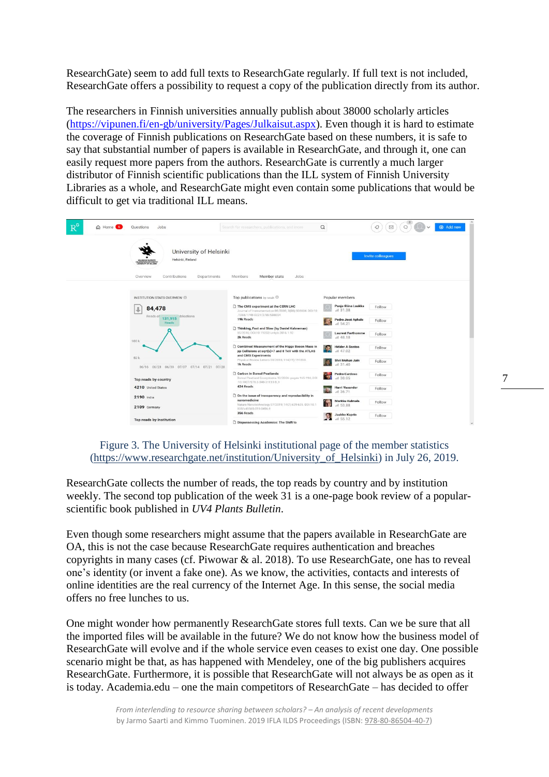ResearchGate) seem to add full texts to ResearchGate regularly. If full text is not included, ResearchGate offers a possibility to request a copy of the publication directly from its author.

The researchers in Finnish universities annually publish about 38000 scholarly articles [\(https://vipunen.fi/en-gb/university/Pages/Julkaisut.aspx\)](https://vipunen.fi/en-gb/university/Pages/Julkaisut.aspx). Even though it is hard to estimate the coverage of Finnish publications on ResearchGate based on these numbers, it is safe to say that substantial number of papers is available in ResearchGate, and through it, one can easily request more papers from the authors. ResearchGate is currently a much larger distributor of Finnish scientific publications than the ILL system of Finnish University Libraries as a whole, and ResearchGate might even contain some publications that would be difficult to get via traditional ILL means.

| $R^6$<br>A Home 6<br>Ouestions<br>Jobs                                                                                                   | Search for researchers, publications, and more                                                                                                        | Q<br>$\boxtimes$<br>$\mathcal{Q}$<br>Add new<br>$\alpha$<br>$\checkmark$ |
|------------------------------------------------------------------------------------------------------------------------------------------|-------------------------------------------------------------------------------------------------------------------------------------------------------|--------------------------------------------------------------------------|
| University of Helsinki<br>Helsinki, Finland<br>HELSINGIN YLIOPISTO<br>UNIVERSITY OF HILLSING<br>Contributions<br>Overview<br>Departments | Jobs:<br>Members<br>Member stats                                                                                                                      | Invite colleagues                                                        |
| INSTITUTION STATS OVERVIEW                                                                                                               | Top publications by reads <sup>1</sup>                                                                                                                | Popular members                                                          |
| 84,478<br>⇓                                                                                                                              | The CMS experiment at the CERN LHC<br>Journal of Instrumentation 08/2008; 3(08):S08004. DOI:10<br>1088/1748-0221/3/08/S08004                          | Panja-Riina Luukka<br>Follow<br>al 31.38                                 |
| Reads of<br>iblications<br>131,915<br>Reads                                                                                              | 19k Reads                                                                                                                                             | Pedro José Aphalo<br>Follow<br>$-11, 54.21$                              |
| 100 k                                                                                                                                    | Thinking, Fast and Slow (by Daniel Kahneman)<br>05/2016; DOI:10.19232/uv4pb.2016.1.92<br>2k Reads                                                     | <b>Laurent Forthomme</b><br>Follow<br>al 48.18                           |
|                                                                                                                                          | Combined Measurement of the Higgs Boson Mass in<br>pp Collisions at sqrt[s]=7 and 8 TeV with the ATLAS<br>and CMS Experiments                         | <b>Hélder A Santos</b><br>Follow<br>al 47.02                             |
| 50 k<br>06/16 06/23 06/30 07/07 07/14 07/21 07/28                                                                                        | Physical Review Letters 05/2015; 114(19):191803.<br>1k Reads                                                                                          | Shri Mohan Jain<br>Follow<br>1131.40                                     |
| Top reads by country                                                                                                                     | Carbon in Boreal Peatlands<br>Boreal Peatland Ecosystems 10/2006: pages 165-194; DOI<br>:10.1007/978-3-540-31913-9_9                                  | i all<br><b>Pedro Cardoso</b><br>Follow<br>al 38.05                      |
| 4210 United States                                                                                                                       | 424 Reads                                                                                                                                             | <b>Harri Vasander</b><br>Follow<br>$-1136.71$                            |
| 2190 India<br>2109 Germany                                                                                                               | On the issue of transparency and reproducibility in<br>nanomedicine<br>Nature Nanotechnology 07/2019; 14(7):629-635. DOL10.1<br>038/s41565-019-0496-9 | Markku Kulmala<br>Follow<br>al 53.88                                     |
| Top reads by institution                                                                                                                 | 356 Reads<br>Dispossessing Academics: The Shift to                                                                                                    | Jaakko Kaprio<br>Follow<br>$-11.55.12$<br>$\checkmark$                   |

## Figure 3. The University of Helsinki institutional page of the member statistics [\(https://www.researchgate.net/institution/University\\_of\\_Helsinki\)](https://www.researchgate.net/institution/University_of_Helsinki) in July 26, 2019.

ResearchGate collects the number of reads, the top reads by country and by institution weekly. The second top publication of the week 31 is a one-page book review of a popularscientific book published in *UV4 Plants Bulletin*.

Even though some researchers might assume that the papers available in ResearchGate are OA, this is not the case because ResearchGate requires authentication and breaches copyrights in many cases (cf. Piwowar & al. 2018). To use ResearchGate, one has to reveal one's identity (or invent a fake one). As we know, the activities, contacts and interests of online identities are the real currency of the Internet Age. In this sense, the social media offers no free lunches to us.

One might wonder how permanently ResearchGate stores full texts. Can we be sure that all the imported files will be available in the future? We do not know how the business model of ResearchGate will evolve and if the whole service even ceases to exist one day. One possible scenario might be that, as has happened with Mendeley, one of the big publishers acquires ResearchGate. Furthermore, it is possible that ResearchGate will not always be as open as it is today. Academia.edu – one the main competitors of ResearchGate – has decided to offer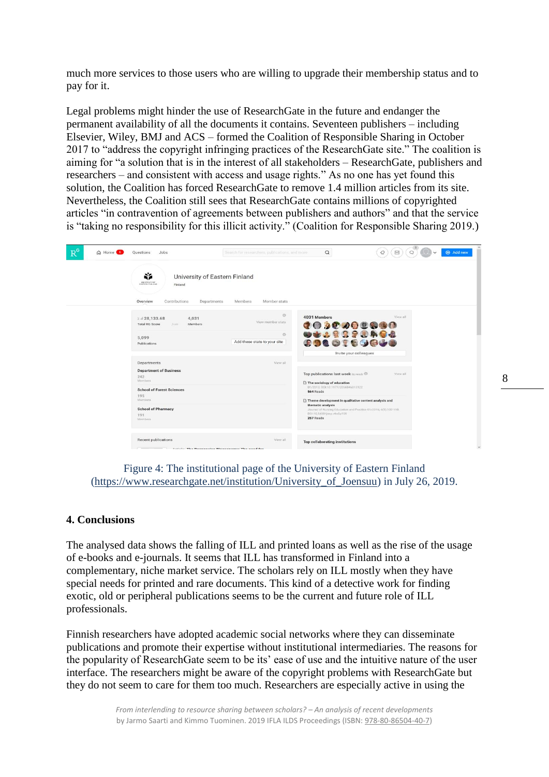much more services to those users who are willing to upgrade their membership status and to pay for it.

Legal problems might hinder the use of ResearchGate in the future and endanger the permanent availability of all the documents it contains. Seventeen publishers – including Elsevier, Wiley, BMJ and ACS – formed the Coalition of Responsible Sharing in October 2017 to "address the copyright infringing practices of the ResearchGate site." The coalition is aiming for "a solution that is in the interest of all stakeholders – ResearchGate, publishers and researchers – and consistent with access and usage rights." As no one has yet found this solution, the Coalition has forced ResearchGate to remove 1.4 million articles from its site. Nevertheless, the Coalition still sees that ResearchGate contains millions of copyrighted articles "in contravention of agreements between publishers and authors" and that the service is "taking no responsibility for this illicit activity." (Coalition for Responsible Sharing 2019.)

| $R^6$<br>C Home 6 | Jobs<br>Questions                                                                                                                  | Search for researchers, publications, and more | $\alpha$                                                                                                                                                    | $Q$ $\cup$ $\vee$<br>◁<br>$\Box$ | Add new |  |
|-------------------|------------------------------------------------------------------------------------------------------------------------------------|------------------------------------------------|-------------------------------------------------------------------------------------------------------------------------------------------------------------|----------------------------------|---------|--|
|                   | Ń.<br>University of Eastern Finland<br>UNIVERSITY OF<br>Finland<br>Overview<br>Contributions<br>Departments                        | Member stats<br>Members:                       |                                                                                                                                                             |                                  |         |  |
|                   | $\Sigma$ al 28,133.68<br>4,031<br><b>Total RG Score</b><br>Members<br>from<br>5,099                                                | $\circ$<br>View member stats<br>$\circ$        | 4031 Members<br>102000000<br>9438888484                                                                                                                     | View all                         |         |  |
| Publications      | Departments                                                                                                                        | Add these stats to your site<br>View all       | 8960169000<br>Invite your colleagues                                                                                                                        |                                  |         |  |
|                   | <b>Department of Business</b><br>242<br>Members<br><b>School of Forest Sciences</b><br>195<br>Members<br><b>School of Pharmacy</b> |                                                | Top publications last week by reads<br>View all<br>$\Box$ The sociology of education<br>01/2013: 001:10.1177/2056846013122                                  |                                  |         |  |
|                   |                                                                                                                                    |                                                | 564 Reads<br>Theme development in qualitative content analysis and<br>thematic analysis<br>Journal of Nursing Education and Practice 01/2016; 6(5):100-110. |                                  |         |  |
| 191<br>Members.   |                                                                                                                                    |                                                | DOI:10.5430/jnep.v6n5p100<br>257 Reads                                                                                                                      |                                  |         |  |
|                   | Recent publications<br>Autista: The Decognition Diography of The need for                                                          | View all                                       | <b>Top collaborating institutions</b>                                                                                                                       |                                  |         |  |

Figure 4: The institutional page of the University of Eastern Finland [\(https://www.researchgate.net/institution/University\\_of\\_Joensuu\)](https://www.researchgate.net/institution/University_of_Joensuu) in July 26, 2019.

# **4. Conclusions**

The analysed data shows the falling of ILL and printed loans as well as the rise of the usage of e-books and e-journals. It seems that ILL has transformed in Finland into a complementary, niche market service. The scholars rely on ILL mostly when they have special needs for printed and rare documents. This kind of a detective work for finding exotic, old or peripheral publications seems to be the current and future role of ILL professionals.

Finnish researchers have adopted academic social networks where they can disseminate publications and promote their expertise without institutional intermediaries. The reasons for the popularity of ResearchGate seem to be its' ease of use and the intuitive nature of the user interface. The researchers might be aware of the copyright problems with ResearchGate but they do not seem to care for them too much. Researchers are especially active in using the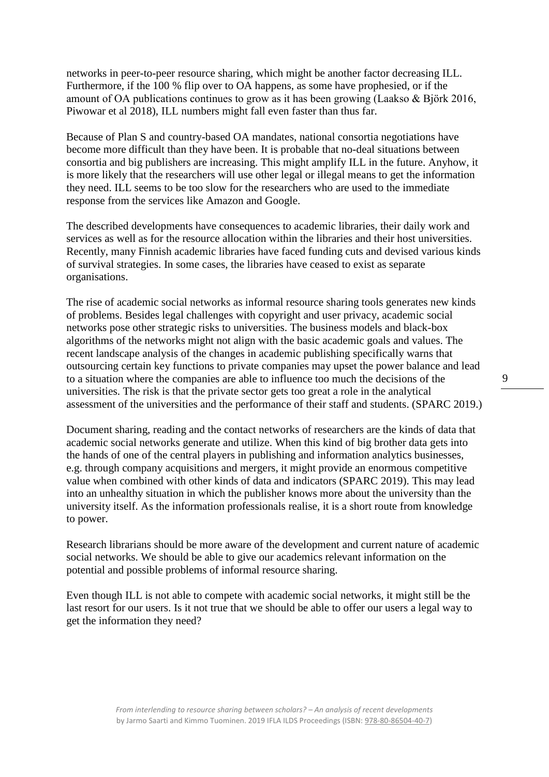networks in peer-to-peer resource sharing, which might be another factor decreasing ILL. Furthermore, if the 100 % flip over to OA happens, as some have prophesied, or if the amount of OA publications continues to grow as it has been growing (Laakso & Björk 2016, Piwowar et al 2018), ILL numbers might fall even faster than thus far.

Because of Plan S and country-based OA mandates, national consortia negotiations have become more difficult than they have been. It is probable that no-deal situations between consortia and big publishers are increasing. This might amplify ILL in the future. Anyhow, it is more likely that the researchers will use other legal or illegal means to get the information they need. ILL seems to be too slow for the researchers who are used to the immediate response from the services like Amazon and Google.

The described developments have consequences to academic libraries, their daily work and services as well as for the resource allocation within the libraries and their host universities. Recently, many Finnish academic libraries have faced funding cuts and devised various kinds of survival strategies. In some cases, the libraries have ceased to exist as separate organisations.

The rise of academic social networks as informal resource sharing tools generates new kinds of problems. Besides legal challenges with copyright and user privacy, academic social networks pose other strategic risks to universities. The business models and black-box algorithms of the networks might not align with the basic academic goals and values. The recent landscape analysis of the changes in academic publishing specifically warns that outsourcing certain key functions to private companies may upset the power balance and lead to a situation where the companies are able to influence too much the decisions of the universities. The risk is that the private sector gets too great a role in the analytical assessment of the universities and the performance of their staff and students. (SPARC 2019.)

Document sharing, reading and the contact networks of researchers are the kinds of data that academic social networks generate and utilize. When this kind of big brother data gets into the hands of one of the central players in publishing and information analytics businesses, e.g. through company acquisitions and mergers, it might provide an enormous competitive value when combined with other kinds of data and indicators (SPARC 2019). This may lead into an unhealthy situation in which the publisher knows more about the university than the university itself. As the information professionals realise, it is a short route from knowledge to power.

Research librarians should be more aware of the development and current nature of academic social networks. We should be able to give our academics relevant information on the potential and possible problems of informal resource sharing.

Even though ILL is not able to compete with academic social networks, it might still be the last resort for our users. Is it not true that we should be able to offer our users a legal way to get the information they need?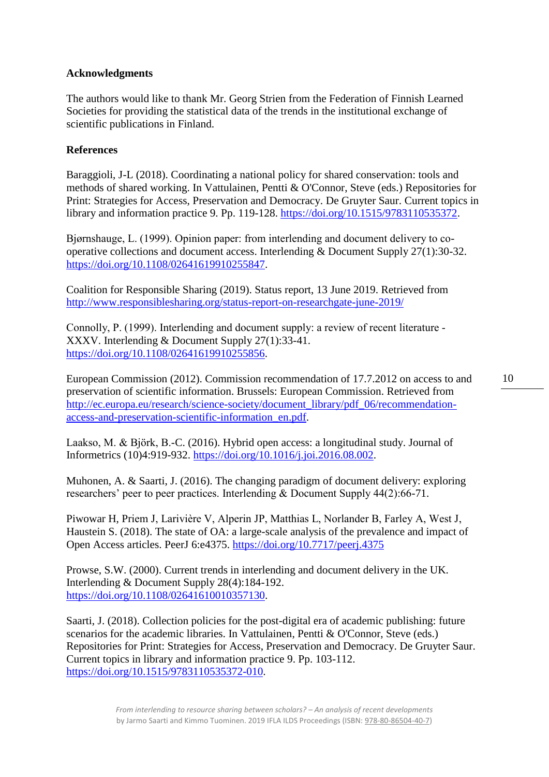## **Acknowledgments**

The authors would like to thank Mr. Georg Strien from the Federation of Finnish Learned Societies for providing the statistical data of the trends in the institutional exchange of scientific publications in Finland.

# **References**

Baraggioli, J-L (2018). Coordinating a national policy for shared conservation: tools and methods of shared working. In Vattulainen, Pentti & O'Connor, Steve (eds.) Repositories for Print: Strategies for Access, Preservation and Democracy. De Gruyter Saur. Current topics in library and information practice 9. Pp. 119-128. [https://doi.org/10.1515/9783110535372.](https://doi.org/10.1515/9783110535372)

Bjørnshauge, L. (1999). Opinion paper: from interlending and document delivery to cooperative collections and document access. Interlending & Document Supply 27(1):30-32. [https://doi.org/10.1108/02641619910255847.](https://doi.org/10.1108/02641619910255847)

Coalition for Responsible Sharing (2019). Status report, 13 June 2019. Retrieved from <http://www.responsiblesharing.org/status-report-on-researchgate-june-2019/>

Connolly, P. (1999). Interlending and document supply: a review of recent literature ‐ XXXV. Interlending & Document Supply 27(1):33-41. [https://doi.org/10.1108/02641619910255856.](https://doi.org/10.1108/02641619910255856)

European Commission (2012). Commission recommendation of 17.7.2012 on access to and preservation of scientific information. Brussels: European Commission. Retrieved from [http://ec.europa.eu/research/science-society/document\\_library/pdf\\_06/recommendation](http://ec.europa.eu/research/science-society/document_library/pdf_06/recommendation-access-and-preservation-scientific-information_en.pdf)[access-and-preservation-scientific-information\\_en.pdf.](http://ec.europa.eu/research/science-society/document_library/pdf_06/recommendation-access-and-preservation-scientific-information_en.pdf)

Laakso, M. & Björk, B.-C. (2016). Hybrid open access: a longitudinal study. Journal of Informetrics (10)4:919-932. [https://doi.org/10.1016/j.joi.2016.08.002.](https://doi.org/10.1016/j.joi.2016.08.002)

Muhonen, A. & Saarti, J. (2016). The changing paradigm of document delivery: exploring researchers' peer to peer practices. Interlending & Document Supply 44(2):66-71.

Piwowar H, Priem J, Larivière V, Alperin JP, Matthias L, Norlander B, Farley A, West J, Haustein S. (2018). The state of OA: a large-scale analysis of the prevalence and impact of Open Access articles. PeerJ 6:e4375.<https://doi.org/10.7717/peerj.4375>

Prowse, S.W. (2000). Current trends in interlending and document delivery in the UK. Interlending & Document Supply 28(4):184-192. [https://doi.org/10.1108/02641610010357130.](https://doi.org/10.1108/02641610010357130)

Saarti, J. (2018). Collection policies for the post-digital era of academic publishing: future scenarios for the academic libraries. In Vattulainen, Pentti & O'Connor, Steve (eds.) Repositories for Print: Strategies for Access, Preservation and Democracy. De Gruyter Saur. Current topics in library and information practice 9. Pp. 103-112. [https://doi.org/10.1515/9783110535372-010.](https://doi.org/10.1515/9783110535372-010)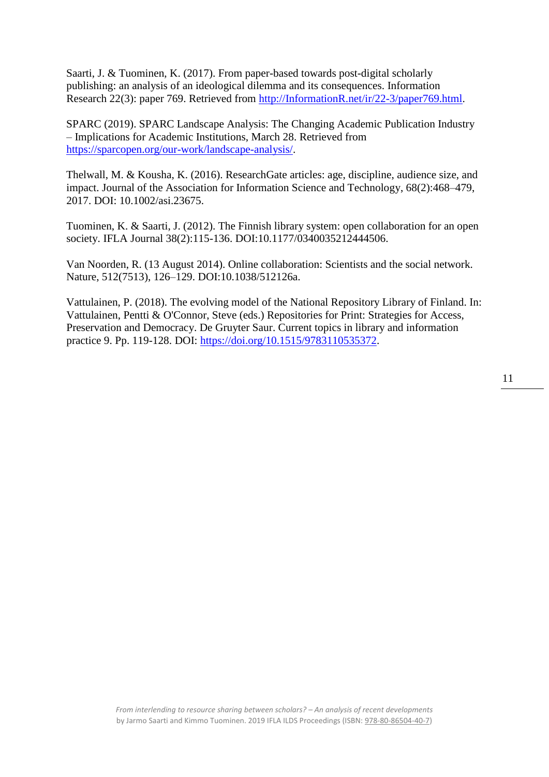Saarti, J. & Tuominen, K. (2017). From paper-based towards post-digital scholarly publishing: an analysis of an ideological dilemma and its consequences. Information Research 22(3): paper 769. Retrieved from [http://InformationR.net/ir/22-3/paper769.html.](http://informationr.net/ir/22-3/paper769.html)

SPARC (2019). SPARC Landscape Analysis: The Changing Academic Publication Industry – Implications for Academic Institutions, March 28. Retrieved from [https://sparcopen.org/our-work/landscape-analysis/.](https://sparcopen.org/our-work/landscape-analysis/)

Thelwall, M. & Kousha, K. (2016). ResearchGate articles: age, discipline, audience size, and impact. Journal of the Association for Information Science and Technology, 68(2):468–479, 2017. DOI: 10.1002/asi.23675.

Tuominen, K. & Saarti, J. (2012). The Finnish library system: open collaboration for an open society. IFLA Journal 38(2):115-136. DOI:10.1177/0340035212444506.

Van Noorden, R. (13 August 2014). Online collaboration: Scientists and the social network. Nature, 512(7513), 126–129. DOI:10.1038/512126a.

Vattulainen, P. (2018). The evolving model of the National Repository Library of Finland. In: Vattulainen, Pentti & O'Connor, Steve (eds.) Repositories for Print: Strategies for Access, Preservation and Democracy. De Gruyter Saur. Current topics in library and information practice 9. Pp. 119-128. DOI: [https://doi.org/10.1515/9783110535372.](https://doi.org/10.1515/9783110535372)